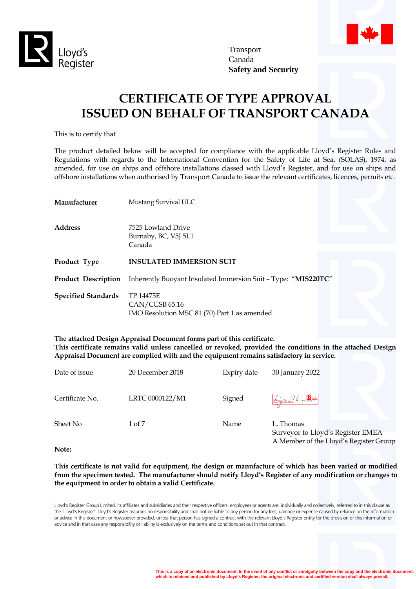

Transport Canada **Safety and Security**

# **CERTIFICATE OF TYPE APPROVAL ISSUED ON BEHALF OF TRANSPORT CANADA**

This is to certify that

The product detailed below will be accepted for compliance with the applicable Lloyd's Register Rules and Regulations with regards to the International Convention for the Safety of Life at Sea, (SOLAS), 1974, as amended, for use on ships and offshore installations classed with Lloyd's Register, and for use on ships and offshore installations when authorised by Transport Canada to issue the relevant certificates, licences, permits etc.

| Manufacturer               | Mustang Survival ULC                                                               |  |
|----------------------------|------------------------------------------------------------------------------------|--|
| <b>Address</b>             | 7525 Lowland Drive<br>Burnaby, BC, V5J 5L1<br>Canada                               |  |
| Product Type               | <b>INSULATED IMMERSION SUIT</b>                                                    |  |
| <b>Product Description</b> | Inherently Buoyant Insulated Immersion Suit - Type: "MIS220TC"                     |  |
| <b>Specified Standards</b> | <b>TP 14475E</b><br>CAN/CGSB 65.16<br>IMO Resolution MSC.81 (70) Part 1 as amended |  |

**The attached Design Appraisal Document forms part of this certificate. This certificate remains valid unless cancelled or revoked, provided the conditions in the attached Design Appraisal Document are complied with and the equipment remains satisfactory in service.**

| Date of issue   | 20 December 2018 | Expiry date | 30 January 2022                                                                          |
|-----------------|------------------|-------------|------------------------------------------------------------------------------------------|
| Certificate No. | LRTC 0000122/M1  | Signed      | Logis parler EMEX A D PM DO ROSE                                                         |
| Sheet No        | 1 of 7           | Name        | L. Thomas<br>Surveyor to Lloyd's Register EMEA<br>A Member of the Lloyd's Register Group |

**Note:**

**This certificate is not valid for equipment, the design or manufacture of which has been varied or modified from the specimen tested. The manufacturer should notify Lloyd's Register of any modification or changes to the equipment in order to obtain a valid Certificate.**

Lloyd's Register Group Limited, its affiliates and subsidiaries and their respective officers, employees or agents are, individually and collectively, referred to in this clause as the 'Lloyd's Register'. Lloyd's Register assumes no responsibility and shall not be liable to any person for any loss, damage or expense caused by reliance on the information or advice in this document or howsoever provided, unless that person has signed a contract with the relevant Lloyd's Register entity for the provision of this information or advice and in that case any responsibility or liability is exclusively on the terms and conditions set out in that contract.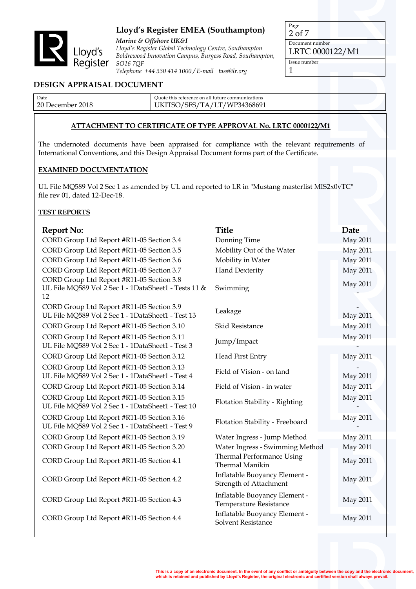

*Marine & Offshore UK&I Lloyd's Register Global Technology Centre, Southampton Boldrewood Innovation Campus, Burgess Road, Southampton, SO16 7QF Telephone +44 330 414 1000 / E-mail tass@lr.org*

Page 2 of 7

Document number LRTC 0000122/M1

Issue number

1

## **DESIGN APPRAISAL DOCUMENT**

| UKITSO/SFS/TA/LT/WP34368691<br>20 December 2018 | Date | Ouote this reference on all future communications |  |
|-------------------------------------------------|------|---------------------------------------------------|--|
|                                                 |      |                                                   |  |

#### **ATTACHMENT TO CERTIFICATE OF TYPE APPROVAL No. LRTC 0000122/M1**

The undernoted documents have been appraised for compliance with the relevant requirements of International Conventions, and this Design Appraisal Document forms part of the Certificate.

#### **EXAMINED DOCUMENTATION**

UL File MQ589 Vol 2 Sec 1 as amended by UL and reported to LR in "Mustang masterlist MIS2x0vTC" file rev 01, dated 12-Dec-18.

## **TEST REPORTS**

| <b>Report No:</b>                                                                                       | <b>Title</b>                                                   | Date            |
|---------------------------------------------------------------------------------------------------------|----------------------------------------------------------------|-----------------|
| CORD Group Ltd Report #R11-05 Section 3.4                                                               | Donning Time                                                   | May 2011        |
| CORD Group Ltd Report #R11-05 Section 3.5                                                               | Mobility Out of the Water                                      | May 2011        |
| CORD Group Ltd Report #R11-05 Section 3.6                                                               | Mobility in Water                                              | May 2011        |
| CORD Group Ltd Report #R11-05 Section 3.7                                                               | <b>Hand Dexterity</b>                                          | May 2011        |
| CORD Group Ltd Report #R11-05 Section 3.8<br>UL File MQ589 Vol 2 Sec 1 - 1DataSheet1 - Tests 11 &<br>12 | Swimming                                                       | May 2011        |
| CORD Group Ltd Report #R11-05 Section 3.9<br>UL File MQ589 Vol 2 Sec 1 - 1DataSheet1 - Test 13          | Leakage                                                        | May 2011        |
| CORD Group Ltd Report #R11-05 Section 3.10                                                              | Skid Resistance                                                | May 2011        |
| CORD Group Ltd Report #R11-05 Section 3.11<br>UL File MQ589 Vol 2 Sec 1 - 1DataSheet1 - Test 3          | Jump/Impact                                                    | <b>May 2011</b> |
| CORD Group Ltd Report #R11-05 Section 3.12                                                              | Head First Entry                                               | <b>May 2011</b> |
| CORD Group Ltd Report #R11-05 Section 3.13<br>UL File MQ589 Vol 2 Sec 1 - 1DataSheet1 - Test 4          | Field of Vision - on land                                      | May 2011        |
| CORD Group Ltd Report #R11-05 Section 3.14                                                              | Field of Vision - in water                                     | May 2011        |
| CORD Group Ltd Report #R11-05 Section 3.15<br>UL File MQ589 Vol 2 Sec 1 - 1DataSheet1 - Test 10         | Flotation Stability - Righting                                 | May 2011        |
| CORD Group Ltd Report #R11-05 Section 3.16<br>UL File MQ589 Vol 2 Sec 1 - 1DataSheet1 - Test 9          | Flotation Stability - Freeboard                                | May 2011        |
| CORD Group Ltd Report #R11-05 Section 3.19                                                              | Water Ingress - Jump Method                                    | <b>May 2011</b> |
| CORD Group Ltd Report #R11-05 Section 3.20                                                              | Water Ingress - Swimming Method                                | May 2011        |
| CORD Group Ltd Report #R11-05 Section 4.1                                                               | <b>Thermal Performance Using</b><br><b>Thermal Manikin</b>     | May 2011        |
| CORD Group Ltd Report #R11-05 Section 4.2                                                               | Inflatable Buoyancy Element -<br><b>Strength of Attachment</b> | May 2011        |
| CORD Group Ltd Report #R11-05 Section 4.3                                                               | Inflatable Buoyancy Element -<br><b>Temperature Resistance</b> | May 2011        |
| CORD Group Ltd Report #R11-05 Section 4.4                                                               | Inflatable Buoyancy Element -<br><b>Solvent Resistance</b>     | May 2011        |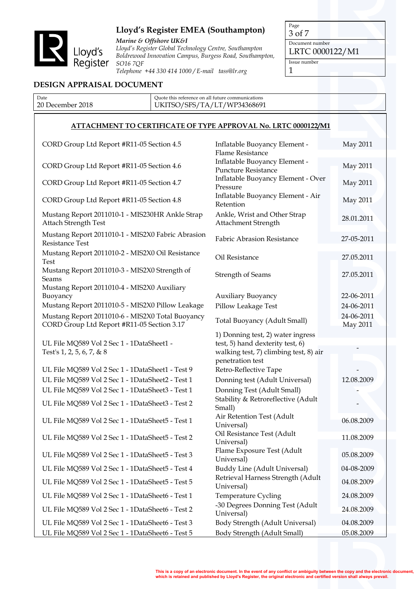

*Marine & Offshore UK&I Lloyd's Register Global Technology Centre, Southampton Boldrewood Innovation Campus, Burgess Road, Southampton, SO16 7QF Telephone +44 330 414 1000 / E-mail tass@lr.org*

Page 3 of 7

Document number LRTC 0000122/M1

Issue number

1

## **DESIGN APPRAISAL DOCUMENT**

| Date             | Quote this reference on all future communications |  |
|------------------|---------------------------------------------------|--|
| 20 December 2018 | UKITSO/SFS/TA/LT/WP34368691                       |  |
|                  |                                                   |  |

#### **ATTACHMENT TO CERTIFICATE OF TYPE APPROVAL No. LRTC 0000122/M1**

| CORD Group Ltd Report #R11-05 Section 4.5                                                      | Inflatable Buoyancy Element -<br><b>Flame Resistance</b>                   | May 2011               |
|------------------------------------------------------------------------------------------------|----------------------------------------------------------------------------|------------------------|
| CORD Group Ltd Report #R11-05 Section 4.6                                                      | Inflatable Buoyancy Element -<br><b>Puncture Resistance</b>                | <b>May 2011</b>        |
| CORD Group Ltd Report #R11-05 Section 4.7                                                      | Inflatable Buoyancy Element - Over<br>Pressure                             | May 2011               |
| CORD Group Ltd Report #R11-05 Section 4.8                                                      | Inflatable Buoyancy Element - Air<br>Retention                             | May 2011               |
| Mustang Report 2011010-1 - MIS230HR Ankle Strap<br>Attach Strength Test                        | Ankle, Wrist and Other Strap<br>Attachment Strength                        | 28.01.2011             |
| Mustang Report 2011010-1 - MIS2X0 Fabric Abrasion<br>Resistance Test                           | <b>Fabric Abrasion Resistance</b>                                          | 27-05-2011             |
| Mustang Report 2011010-2 - MIS2X0 Oil Resistance<br>Test                                       | Oil Resistance                                                             | 27.05.2011             |
| Mustang Report 2011010-3 - MIS2X0 Strength of<br>Seams                                         | <b>Strength of Seams</b>                                                   | 27.05.2011             |
| Mustang Report 2011010-4 - MIS2X0 Auxiliary<br>Buoyancy                                        | <b>Auxiliary Buoyancy</b>                                                  | 22-06-2011             |
| Mustang Report 2011010-5 - MIS2X0 Pillow Leakage                                               | Pillow Leakage Test                                                        | 24-06-2011             |
| Mustang Report 2011010-6 - MIS2X0 Total Buoyancy<br>CORD Group Ltd Report #R11-05 Section 3.17 | Total Buoyancy (Adult Small)                                               | 24-06-2011<br>May 2011 |
|                                                                                                | 1) Donning test, 2) water ingress                                          |                        |
| UL File MQ589 Vol 2 Sec 1 - 1DataSheet1 -<br>Test's 1, 2, 5, 6, 7, & 8                         | test, 5) hand dexterity test, 6)<br>walking test, 7) climbing test, 8) air |                        |
|                                                                                                | penetration test                                                           |                        |
| UL File MQ589 Vol 2 Sec 1 - 1DataSheet1 - Test 9                                               | Retro-Reflective Tape                                                      |                        |
| UL File MQ589 Vol 2 Sec 1 - 1DataSheet2 - Test 1                                               | Donning test (Adult Universal)                                             | 12.08.2009             |
| UL File MQ589 Vol 2 Sec 1 - 1DataSheet3 - Test 1                                               | Donning Test (Adult Small)                                                 |                        |
| UL File MQ589 Vol 2 Sec 1 - 1DataSheet3 - Test 2                                               | Stability & Retroreflective (Adult<br>Small)                               |                        |
| UL File MQ589 Vol 2 Sec 1 - 1DataSheet5 - Test 1                                               | Air Retention Test (Adult<br>Universal)                                    | 06.08.2009             |
| UL File MQ589 Vol 2 Sec 1 - 1DataSheet5 - Test 2                                               | Oil Resistance Test (Adult<br>Universal)                                   | 11.08.2009             |
| UL File MQ589 Vol 2 Sec 1 - 1DataSheet5 - Test 3                                               | Flame Exposure Test (Adult<br>Universal)                                   | 05.08.2009             |
| UL File MQ589 Vol 2 Sec 1 - 1DataSheet5 - Test 4                                               | Buddy Line (Adult Universal)                                               | 04-08-2009             |
| UL File MQ589 Vol 2 Sec 1 - 1DataSheet5 - Test 5                                               | Retrieval Harness Strength (Adult<br>Universal)                            | 04.08.2009             |
| UL File MQ589 Vol 2 Sec 1 - 1DataSheet6 - Test 1                                               | Temperature Cycling                                                        | 24.08.2009             |
| UL File MQ589 Vol 2 Sec 1 - 1DataSheet6 - Test 2                                               | -30 Degrees Donning Test (Adult<br>Universal)                              | 24.08.2009             |
| UL File MQ589 Vol 2 Sec 1 - 1DataSheet6 - Test 3                                               | Body Strength (Adult Universal)                                            | 04.08.2009             |
| UL File MQ589 Vol 2 Sec 1 - 1DataSheet6 - Test 5                                               | Body Strength (Adult Small)                                                | 05.08.2009             |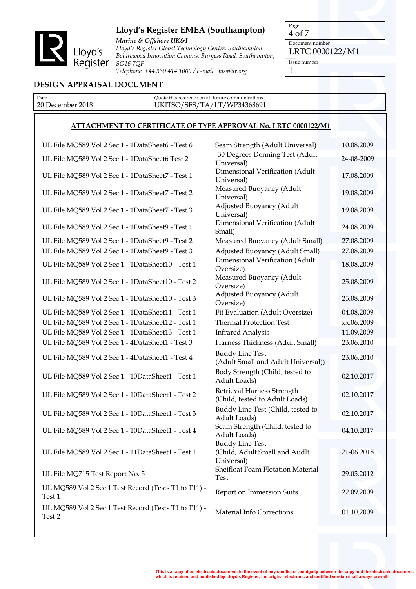

*Marine & Offshore UK&I Lloyd's Register Global Technology Centre, Southampton Boldrewood Innovation Campus, Burgess Road, Southampton, SO16 7QF Telephone +44 330 414 1000 / E-mail tass@lr.org*

Page 4 of 7

Document number LRTC 0000122/M1

Issue number

1

## **DESIGN APPRAISAL DOCUMENT**

| UKITSO/SFS/TA/LT/WP34368691<br>20 December 2018 | Date | Quote this reference on all future communications |  |  |
|-------------------------------------------------|------|---------------------------------------------------|--|--|
|                                                 |      |                                                   |  |  |

#### **ATTACHMENT TO CERTIFICATE OF TYPE APPROVAL No. LRTC 0000122/M1**

| UL File MQ589 Vol 2 Sec 1 - 1DataSheet6 - Test 6               | Seam Strength (Adult Universal)                                       | 10.08.2009 |
|----------------------------------------------------------------|-----------------------------------------------------------------------|------------|
| UL File MQ589 Vol 2 Sec 1 - 1DataSheet6 Test 2                 | -30 Degrees Donning Test (Adult<br>Universal)                         | 24-08-2009 |
| UL File MQ589 Vol 2 Sec 1 - 1DataSheet7 - Test 1               | Dimensional Verification (Adult<br>Universal)                         | 17.08.2009 |
| UL File MQ589 Vol 2 Sec 1 - 1DataSheet7 - Test 2               | Measured Buoyancy (Adult<br>Universal)                                | 19.08.2009 |
| UL File MQ589 Vol 2 Sec 1 - 1DataSheet7 - Test 3               | Adjusted Buoyancy (Adult<br>Universal)                                | 19.08.2009 |
| UL File MQ589 Vol 2 Sec 1 - 1DataSheet9 - Test 1               | Dimensional Verification (Adult<br>Small)                             | 24.08.2009 |
| UL File MQ589 Vol 2 Sec 1 - 1DataSheet9 - Test 2               | Measured Buoyancy (Adult Small)                                       | 27.08.2009 |
| UL File MQ589 Vol 2 Sec 1 - 1DataSheet9 - Test 3               | Adjusted Buoyancy (Adult Small)                                       | 27.08.2009 |
| UL File MQ589 Vol 2 Sec 1 - 1DataSheet10 - Test 1              | Dimensional Verification (Adult<br>Oversize)                          | 18.08.2009 |
| UL File MQ589 Vol 2 Sec 1 - 1DataSheet10 - Test 2              | Measured Buoyancy (Adult<br>Oversize)                                 | 25.08.2009 |
| UL File MQ589 Vol 2 Sec 1 - 1DataSheet10 - Test 3              | Adjusted Buoyancy (Adult<br>Oversize)                                 | 25.08.2009 |
| UL File MQ589 Vol 2 Sec 1 - 1DataSheet11 - Test 1              | Fit Evaluation (Adult Oversize)                                       | 04.08.2009 |
| UL File MQ589 Vol 2 Sec 1 - 1DataSheet12 - Test 1              | <b>Thermal Protection Test</b>                                        | xx.06.2009 |
| UL File MQ589 Vol 2 Sec 1 - 1DataSheet13 - Test 1              | <b>Infrared Analysis</b>                                              | 11.09.2009 |
| UL File MQ589 Vol 2 Sec 1 - 4DataSheet1 - Test 3               | Harness Thickness (Adult Small)                                       | 23.06.2010 |
| UL File MQ589 Vol 2 Sec 1 - 4DataSheet1 - Test 4               | <b>Buddy Line Test</b><br>(Adult Small and Adult Universal))          | 23.06.2010 |
| UL File MQ589 Vol 2 Sec 1 - 10DataSheet1 - Test 1              | Body Strength (Child, tested to<br>Adult Loads)                       | 02.10.2017 |
| UL File MQ589 Vol 2 Sec 1 - 10DataSheet1 - Test 2              | Retrieval Harness Strength<br>(Child, tested to Adult Loads)          | 02.10.2017 |
| UL File MQ589 Vol 2 Sec 1 - 10DataSheet1 - Test 3              | Buddy Line Test (Child, tested to<br>Adult Loads)                     | 02.10.2017 |
| UL File MQ589 Vol 2 Sec 1 - 10DataSheet1 - Test 4              | Seam Strength (Child, tested to<br>Adult Loads)                       | 04.10.2017 |
| UL File MQ589 Vol 2 Sec 1 - 11DataSheet1 - Test 1              | <b>Buddy Line Test</b><br>(Child, Adult Small and Audlt<br>Universal) | 21-06.2018 |
| UL File MQ715 Test Report No. 5                                | Sheifloat Foam Flotation Material<br>Test                             | 29.05.2012 |
| UL MQ589 Vol 2 Sec 1 Test Record (Tests T1 to T11) -<br>Test 1 | Report on Immersion Suits                                             | 22.09.2009 |
| UL MQ589 Vol 2 Sec 1 Test Record (Tests T1 to T11) -<br>Test 2 | Material Info Corrections                                             | 01.10.2009 |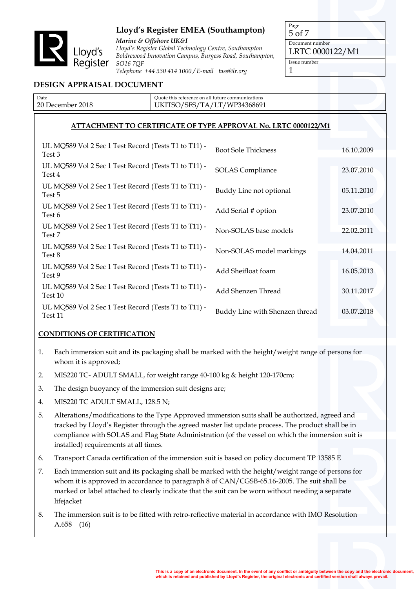

*Marine & Offshore UK&I Lloyd's Register Global Technology Centre, Southampton Boldrewood Innovation Campus, Burgess Road, Southampton, SO16 7QF Telephone +44 330 414 1000 / E-mail tass@lr.org*

Page 5 of 7

Document number

LRTC 0000122/M1 Issue number

1

## **DESIGN APPRAISAL DOCUMENT**

| Date             | Ouote this reference on all future communications |  |
|------------------|---------------------------------------------------|--|
| 20 December 2018 | JKITSO<br>ISO/SFS/TA/LT/WP34368691                |  |
|                  |                                                   |  |

#### **ATTACHMENT TO CERTIFICATE OF TYPE APPROVAL No. LRTC 0000122/M1**

| UL MQ589 Vol 2 Sec 1 Test Record (Tests T1 to T11) -<br>Test 3  | <b>Boot Sole Thickness</b>     | 16.10.2009 |
|-----------------------------------------------------------------|--------------------------------|------------|
| UL MQ589 Vol 2 Sec 1 Test Record (Tests T1 to T11) -<br>Test 4  | <b>SOLAS</b> Compliance        | 23.07.2010 |
| UL MQ589 Vol 2 Sec 1 Test Record (Tests T1 to T11) -<br>Test 5  | Buddy Line not optional        | 05.11.2010 |
| UL MQ589 Vol 2 Sec 1 Test Record (Tests T1 to T11) -<br>Test 6  | Add Serial # option            | 23.07.2010 |
| UL MQ589 Vol 2 Sec 1 Test Record (Tests T1 to T11) -<br>Test 7  | Non-SOLAS base models          | 22.02.2011 |
| UL MQ589 Vol 2 Sec 1 Test Record (Tests T1 to T11) -<br>Test 8  | Non-SOLAS model markings       | 14.04.2011 |
| UL MQ589 Vol 2 Sec 1 Test Record (Tests T1 to T11) -<br>Test 9  | Add Sheifloat foam             | 16.05.2013 |
| UL MQ589 Vol 2 Sec 1 Test Record (Tests T1 to T11) -<br>Test 10 | Add Shenzen Thread             | 30.11.2017 |
| UL MQ589 Vol 2 Sec 1 Test Record (Tests T1 to T11) -<br>Test 11 | Buddy Line with Shenzen thread | 03.07.2018 |

## **CONDITIONS OF CERTIFICATION**

- 1. Each immersion suit and its packaging shall be marked with the height/weight range of persons for whom it is approved;
- 2. MIS220 TC- ADULT SMALL, for weight range 40-100 kg & height 120-170cm;
- 3. The design buoyancy of the immersion suit designs are;
- 4. MIS220 TC ADULT SMALL, 128.5 N;
- 5. Alterations/modifications to the Type Approved immersion suits shall be authorized, agreed and tracked by Lloyd's Register through the agreed master list update process. The product shall be in compliance with SOLAS and Flag State Administration (of the vessel on which the immersion suit is installed) requirements at all times.
- 6. Transport Canada certification of the immersion suit is based on policy document TP 13585 E
- 7. Each immersion suit and its packaging shall be marked with the height/weight range of persons for whom it is approved in accordance to paragraph 8 of CAN/CGSB-65.16-2005. The suit shall be marked or label attached to clearly indicate that the suit can be worn without needing a separate lifejacket
- 8. The immersion suit is to be fitted with retro-reflective material in accordance with IMO Resolution A.658 (16)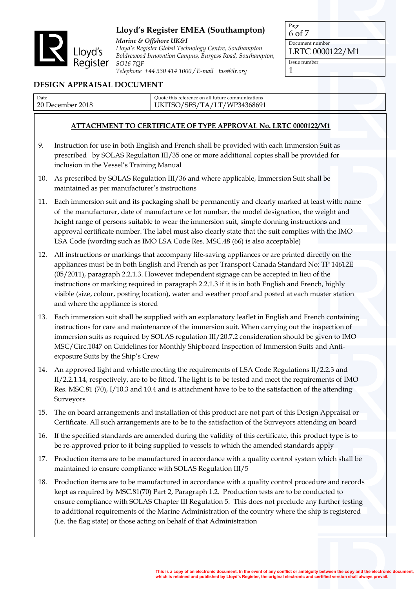

*Marine & Offshore UK&I Lloyd's Register Global Technology Centre, Southampton Boldrewood Innovation Campus, Burgess Road, Southampton, SO16 7QF Telephone +44 330 414 1000 / E-mail tass@lr.org*

Page 6 of 7 Document number LRTC 0000122/M1

Issue number 1

#### **DESIGN APPRAISAL DOCUMENT**

| Date             | Quote this reference on all future communications |  |
|------------------|---------------------------------------------------|--|
| 20 December 2018 | UKITSO/SFS/TA/LT/WP34368691                       |  |
|                  |                                                   |  |

#### **ATTACHMENT TO CERTIFICATE OF TYPE APPROVAL No. LRTC 0000122/M1**

- 9. Instruction for use in both English and French shall be provided with each Immersion Suit as prescribed by SOLAS Regulation III/35 one or more additional copies shall be provided for inclusion in the Vessel's Training Manual
- 10. As prescribed by SOLAS Regulation III/36 and where applicable, Immersion Suit shall be maintained as per manufacturer's instructions
- 11. Each immersion suit and its packaging shall be permanently and clearly marked at least with: name of the manufacturer, date of manufacture or lot number, the model designation, the weight and height range of persons suitable to wear the immersion suit, simple donning instructions and approval certificate number. The label must also clearly state that the suit complies with the IMO LSA Code (wording such as IMO LSA Code Res. MSC.48 (66) is also acceptable)
- 12. All instructions or markings that accompany life-saving appliances or are printed directly on the appliances must be in both English and French as per Transport Canada Standard No: TP 14612E (05/2011), paragraph 2.2.1.3. However independent signage can be accepted in lieu of the instructions or marking required in paragraph 2.2.1.3 if it is in both English and French, highly visible (size, colour, posting location), water and weather proof and posted at each muster station and where the appliance is stored
- 13. Each immersion suit shall be supplied with an explanatory leaflet in English and French containing instructions for care and maintenance of the immersion suit. When carrying out the inspection of immersion suits as required by SOLAS regulation III/20.7.2 consideration should be given to IMO MSC/Circ.1047 on Guidelines for Monthly Shipboard Inspection of Immersion Suits and Antiexposure Suits by the Ship's Crew
- 14. An approved light and whistle meeting the requirements of LSA Code Regulations II/2.2.3 and II/2.2.1.14, respectively, are to be fitted. The light is to be tested and meet the requirements of IMO Res. MSC.81 (70), I/10.3 and 10.4 and is attachment have to be to the satisfaction of the attending Surveyors
- 15. The on board arrangements and installation of this product are not part of this Design Appraisal or Certificate. All such arrangements are to be to the satisfaction of the Surveyors attending on board
- 16. If the specified standards are amended during the validity of this certificate, this product type is to be re-approved prior to it being supplied to vessels to which the amended standards apply
- 17. Production items are to be manufactured in accordance with a quality control system which shall be maintained to ensure compliance with SOLAS Regulation III/5
- 18. Production items are to be manufactured in accordance with a quality control procedure and records kept as required by MSC.81(70) Part 2, Paragraph 1.2. Production tests are to be conducted to ensure compliance with SOLAS Chapter III Regulation 5. This does not preclude any further testing to additional requirements of the Marine Administration of the country where the ship is registered (i.e. the flag state) or those acting on behalf of that Administration